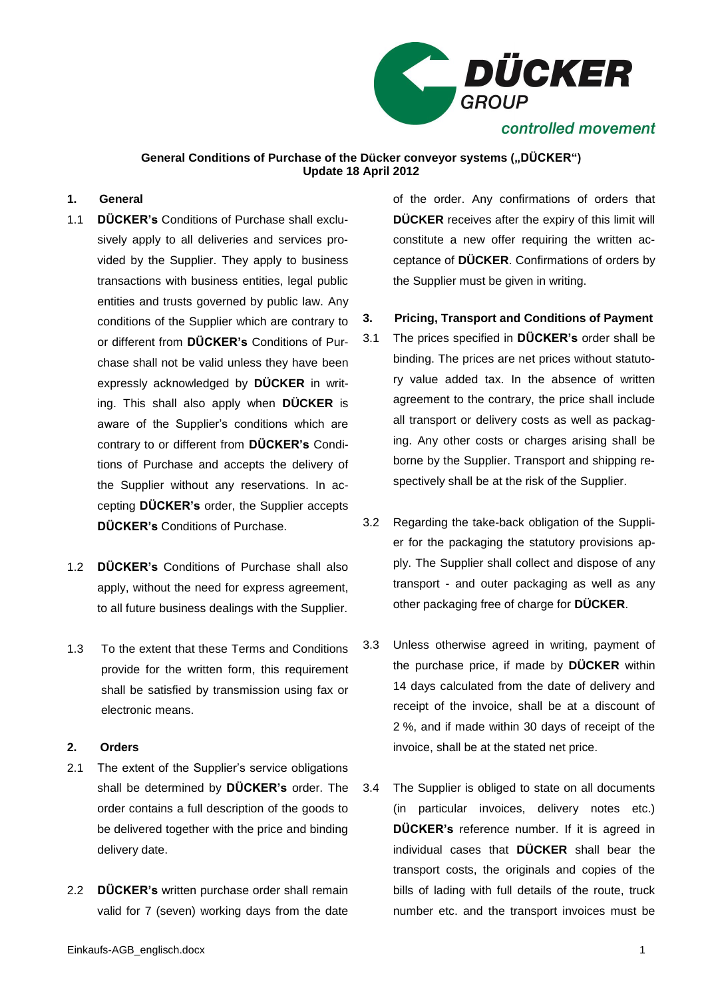

### **General Conditions of Purchase of the Dücker conveyor systems ("DÜCKER") Update 18 April 2012**

### **1. General**

- 1.1 **DÜCKER's** Conditions of Purchase shall exclusively apply to all deliveries and services provided by the Supplier. They apply to business transactions with business entities, legal public entities and trusts governed by public law. Any conditions of the Supplier which are contrary to or different from **DÜCKER's** Conditions of Purchase shall not be valid unless they have been expressly acknowledged by **DÜCKER** in writing. This shall also apply when **DÜCKER** is aware of the Supplier's conditions which are contrary to or different from **DÜCKER's** Conditions of Purchase and accepts the delivery of the Supplier without any reservations. In accepting **DÜCKER's** order, the Supplier accepts **DÜCKER's** Conditions of Purchase.
- 1.2 **DÜCKER's** Conditions of Purchase shall also apply, without the need for express agreement, to all future business dealings with the Supplier.
- 1.3 To the extent that these Terms and Conditions provide for the written form, this requirement shall be satisfied by transmission using fax or electronic means.

## **2. Orders**

- 2.1 The extent of the Supplier's service obligations shall be determined by **DÜCKER's** order. The order contains a full description of the goods to be delivered together with the price and binding delivery date.
- 2.2 **DÜCKER's** written purchase order shall remain valid for 7 (seven) working days from the date

of the order. Any confirmations of orders that **DÜCKER** receives after the expiry of this limit will constitute a new offer requiring the written acceptance of **DÜCKER**. Confirmations of orders by the Supplier must be given in writing.

## **3. Pricing, Transport and Conditions of Payment**

- 3.1 The prices specified in **DÜCKER's** order shall be binding. The prices are net prices without statutory value added tax. In the absence of written agreement to the contrary, the price shall include all transport or delivery costs as well as packaging. Any other costs or charges arising shall be borne by the Supplier. Transport and shipping respectively shall be at the risk of the Supplier.
- 3.2 Regarding the take-back obligation of the Supplier for the packaging the statutory provisions apply. The Supplier shall collect and dispose of any transport - and outer packaging as well as any other packaging free of charge for **DÜCKER**.
- 3.3 Unless otherwise agreed in writing, payment of the purchase price, if made by **DÜCKER** within 14 days calculated from the date of delivery and receipt of the invoice, shall be at a discount of 2 %, and if made within 30 days of receipt of the invoice, shall be at the stated net price.
- 3.4 The Supplier is obliged to state on all documents (in particular invoices, delivery notes etc.) **DÜCKER's** reference number. If it is agreed in individual cases that **DÜCKER** shall bear the transport costs, the originals and copies of the bills of lading with full details of the route, truck number etc. and the transport invoices must be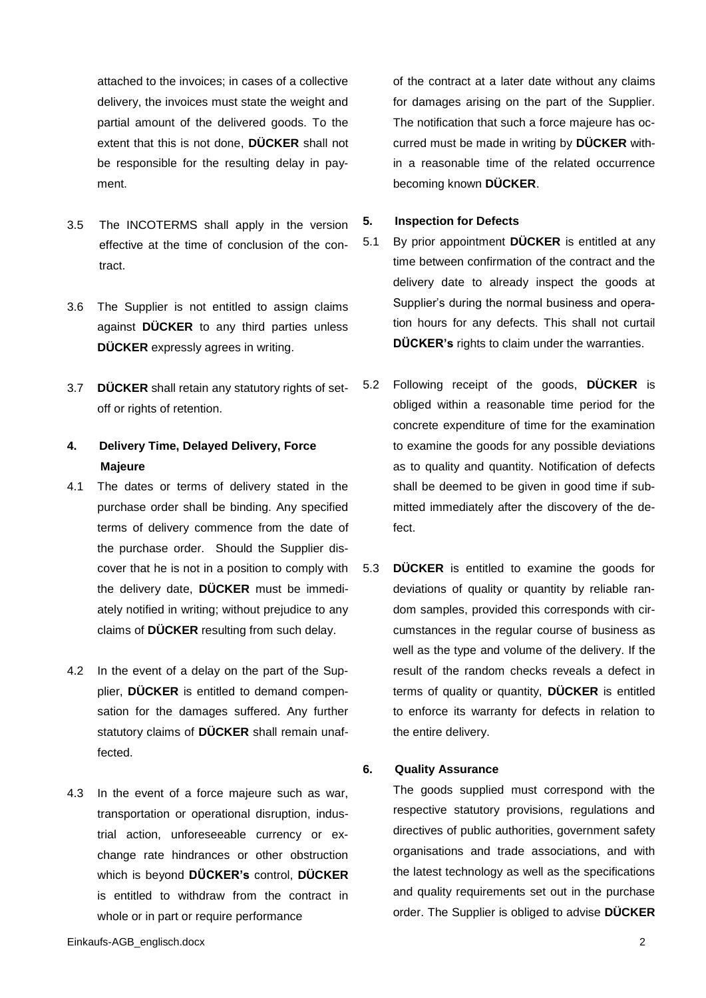attached to the invoices; in cases of a collective delivery, the invoices must state the weight and partial amount of the delivered goods. To the extent that this is not done, **DÜCKER** shall not be responsible for the resulting delay in payment.

- 3.5 The INCOTERMS shall apply in the version effective at the time of conclusion of the contract.
- 3.6 The Supplier is not entitled to assign claims against **DÜCKER** to any third parties unless **DÜCKER** expressly agrees in writing.
- 3.7 **DÜCKER** shall retain any statutory rights of setoff or rights of retention.

# **4. Delivery Time, Delayed Delivery, Force Majeure**

- 4.1 The dates or terms of delivery stated in the purchase order shall be binding. Any specified terms of delivery commence from the date of the purchase order. Should the Supplier discover that he is not in a position to comply with the delivery date, **DÜCKER** must be immediately notified in writing; without prejudice to any claims of **DÜCKER** resulting from such delay.
- 4.2 In the event of a delay on the part of the Supplier, **DÜCKER** is entitled to demand compensation for the damages suffered. Any further statutory claims of **DÜCKER** shall remain unaffected.
- 4.3 In the event of a force majeure such as war, transportation or operational disruption, industrial action, unforeseeable currency or exchange rate hindrances or other obstruction which is beyond **DÜCKER's** control, **DÜCKER** is entitled to withdraw from the contract in whole or in part or require performance

of the contract at a later date without any claims for damages arising on the part of the Supplier. The notification that such a force majeure has occurred must be made in writing by **DÜCKER** within a reasonable time of the related occurrence becoming known **DÜCKER**.

#### **5. Inspection for Defects**

- 5.1 By prior appointment **DÜCKER** is entitled at any time between confirmation of the contract and the delivery date to already inspect the goods at Supplier's during the normal business and operation hours for any defects. This shall not curtail **DÜCKER's** rights to claim under the warranties.
- 5.2 Following receipt of the goods, **DÜCKER** is obliged within a reasonable time period for the concrete expenditure of time for the examination to examine the goods for any possible deviations as to quality and quantity. Notification of defects shall be deemed to be given in good time if submitted immediately after the discovery of the defect.
- 5.3 **DÜCKER** is entitled to examine the goods for deviations of quality or quantity by reliable random samples, provided this corresponds with circumstances in the regular course of business as well as the type and volume of the delivery. If the result of the random checks reveals a defect in terms of quality or quantity, **DÜCKER** is entitled to enforce its warranty for defects in relation to the entire delivery.

#### **6. Quality Assurance**

The goods supplied must correspond with the respective statutory provisions, regulations and directives of public authorities, government safety organisations and trade associations, and with the latest technology as well as the specifications and quality requirements set out in the purchase order. The Supplier is obliged to advise **DÜCKER**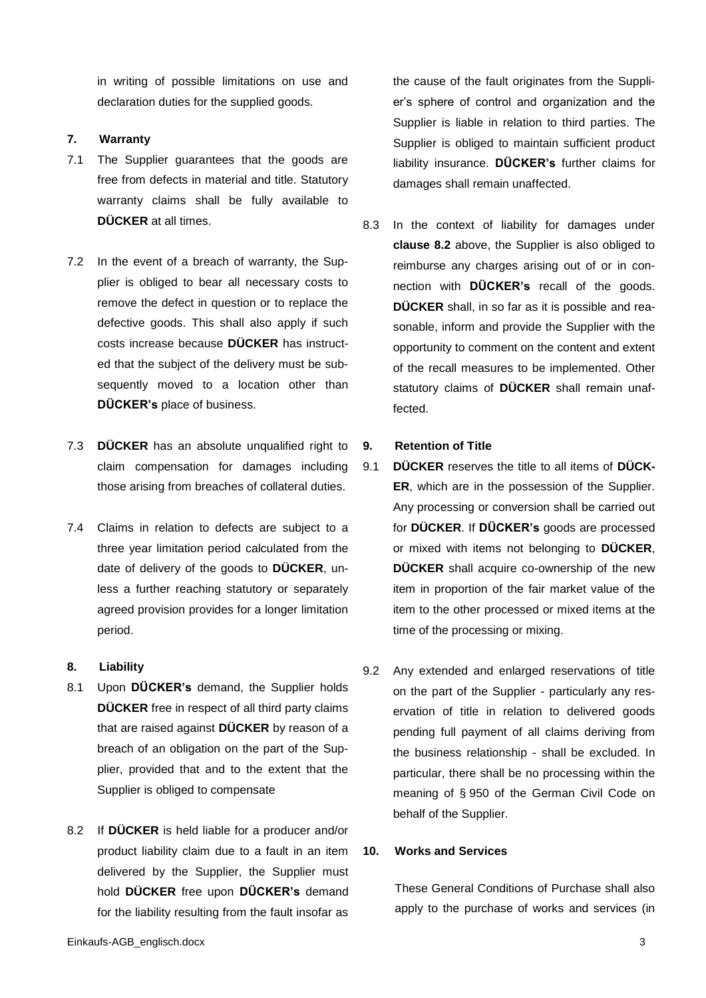in writing of possible limitations on use and declaration duties for the supplied goods.

# **7. Warranty**

- 7.1 The Supplier guarantees that the goods are free from defects in material and title. Statutory warranty claims shall be fully available to **DÜCKER** at all times.
- 7.2 In the event of a breach of warranty, the Supplier is obliged to bear all necessary costs to remove the defect in question or to replace the defective goods. This shall also apply if such costs increase because **DÜCKER** has instructed that the subject of the delivery must be subsequently moved to a location other than **DÜCKER's** place of business.
- 7.3 **DÜCKER** has an absolute unqualified right to claim compensation for damages including those arising from breaches of collateral duties.
- 7.4 Claims in relation to defects are subject to a three year limitation period calculated from the date of delivery of the goods to **DÜCKER**, unless a further reaching statutory or separately agreed provision provides for a longer limitation period.

### **8. Liability**

- 8.1 Upon **DÜCKER's** demand, the Supplier holds **DÜCKER** free in respect of all third party claims that are raised against **DÜCKER** by reason of a breach of an obligation on the part of the Supplier, provided that and to the extent that the Supplier is obliged to compensate
- 8.2 If **DÜCKER** is held liable for a producer and/or product liability claim due to a fault in an item delivered by the Supplier, the Supplier must hold **DÜCKER** free upon **DÜCKER's** demand for the liability resulting from the fault insofar as

the cause of the fault originates from the Supplier's sphere of control and organization and the Supplier is liable in relation to third parties. The Supplier is obliged to maintain sufficient product liability insurance. **DÜCKER's** further claims for damages shall remain unaffected.

8.3 In the context of liability for damages under **clause 8.2** above, the Supplier is also obliged to reimburse any charges arising out of or in connection with **DÜCKER's** recall of the goods. **DÜCKER** shall, in so far as it is possible and reasonable, inform and provide the Supplier with the opportunity to comment on the content and extent of the recall measures to be implemented. Other statutory claims of **DÜCKER** shall remain unaffected.

# **9. Retention of Title**

- 9.1 **DÜCKER** reserves the title to all items of **DÜCK-ER**, which are in the possession of the Supplier. Any processing or conversion shall be carried out for **DÜCKER**. If **DÜCKER's** goods are processed or mixed with items not belonging to **DÜCKER**, **DÜCKER** shall acquire co-ownership of the new item in proportion of the fair market value of the item to the other processed or mixed items at the time of the processing or mixing.
- 9.2 Any extended and enlarged reservations of title on the part of the Supplier - particularly any reservation of title in relation to delivered goods pending full payment of all claims deriving from the business relationship - shall be excluded. In particular, there shall be no processing within the meaning of § 950 of the German Civil Code on behalf of the Supplier.

### **10. Works and Services**

These General Conditions of Purchase shall also apply to the purchase of works and services (in